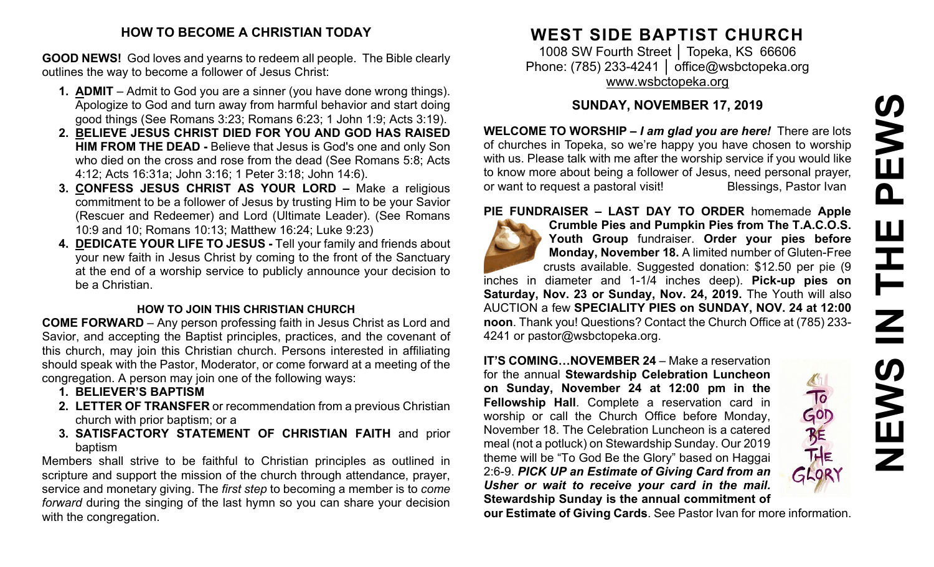# **HOW TO BECOME A CHRISTIAN TODAY**

**GOOD NEWS!** God loves and yearns to redeem all people. The Bible clearly outlines the way to become a follower of Jesus Christ:

- **1. ADMIT** Admit to God you are a sinner (you have done wrong things). Apologize to God and turn away from harmful behavior and start doing good things (See Romans 3:23; Romans 6:23; 1 John 1:9; Acts 3:19).
- **2. BELIEVE JESUS CHRIST DIED FOR YOU AND GOD HAS RAISED HIM FROM THE DEAD -** Believe that Jesus is God's one and only Son who died on the cross and rose from the dead (See Romans 5:8; Acts 4:12; Acts 16:31a; John 3:16; 1 Peter 3:18; John 14:6).
- **3. CONFESS JESUS CHRIST AS YOUR LORD –** Make a religious commitment to be a follower of Jesus by trusting Him to be your Savior (Rescuer and Redeemer) and Lord (Ultimate Leader). (See Romans 10:9 and 10; Romans 10:13; Matthew 16:24; Luke 9:23)
- **4. DEDICATE YOUR LIFE TO JESUS -** Tell your family and friends about your new faith in Jesus Christ by coming to the front of the Sanctuary at the end of a worship service to publicly announce your decision to be a Christian.

### **HOW TO JOIN THIS CHRISTIAN CHURCH**

**COME FORWARD** – Any person professing faith in Jesus Christ as Lord and Savior, and accepting the Baptist principles, practices, and the covenant of this church, may join this Christian church. Persons interested in affiliating should speak with the Pastor, Moderator, or come forward at a meeting of the congregation. A person may join one of the following ways:

- **1. BELIEVER'S BAPTISM**
- **2. LETTER OF TRANSFER** or recommendation from a previous Christian church with prior baptism; or a
- **3. SATISFACTORY STATEMENT OF CHRISTIAN FAITH** and prior baptism

Members shall strive to be faithful to Christian principles as outlined in scripture and support the mission of the church through attendance, prayer, service and monetary giving. The *first step* to becoming a member is to *come forward* during the singing of the last hymn so you can share your decision with the congregation.

# **WEST SIDE BAPTIST CHURCH**

1008 SW Fourth Street | Topeka, KS 66606 Phone: (785) 233-4241 │ [office@wsbctopeka.org](mailto:office@wsbctopeka.org) [www.wsbctopeka.org](http://www.wsbctopeka.org/)

# **SUNDAY, NOVEMBER 17, 2019**

**WELCOME TO WORSHIP –** *I am glad you are here!* There are lots of churches in Topeka, so we're happy you have chosen to worship with us. Please talk with me after the worship service if you would like to know more about being a follower of Jesus, need personal prayer, or want to request a pastoral visit!<br>
Blessings, Pastor Ivan

**PIE FUNDRAISER – LAST DAY TO ORDER** homemade **Apple** 



**Crumble Pies and Pumpkin Pies from The T.A.C.O.S. Youth Group** fundraiser. **Order your pies before Monday, November 18.** A limited number of Gluten-Free crusts available. Suggested donation: \$12.50 per pie (9 inches in diameter and 1-1/4 inches deep). **Pick-up pies on** 

**Saturday, Nov. 23 or Sunday, Nov. 24, 2019.** The Youth will also AUCTION a few **SPECIALITY PIES on SUNDAY, NOV. 24 at 12:00 noon**. Thank you! Questions? Contact the Church Office at (785) 233- 4241 or pastor@wsbctopeka.org.

**IT'S COMING…NOVEMBER 24** – Make a reservation for the annual **Stewardship Celebration Luncheon on Sunday, November 24 at 12:00 pm in the Fellowship Hall**. Complete a reservation card in worship or call the Church Office before Monday, November 18. The Celebration Luncheon is a catered meal (not a potluck) on Stewardship Sunday. Our 2019 theme will be "To God Be the Glory" based on Haggai 2:6-9. *PICK UP an Estimate of Giving Card from an Usher or wait to receive your card in the mail.* **Stewardship Sunday is the annual commitment of** 



**our Estimate of Giving Cards**. See Pastor Ivan for more information.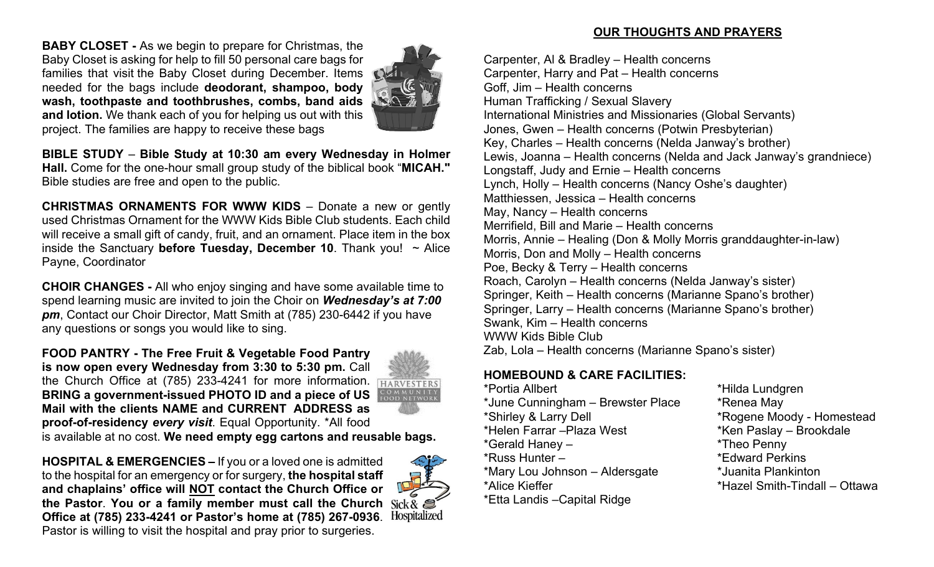**BABY CLOSET -** As we begin to prepare for Christmas, the Baby Closet is asking for help to fill 50 personal care bags for families that visit the Baby Closet during December. Items needed for the bags include **deodorant, shampoo, body wash, toothpaste and toothbrushes, combs, band aids and lotion.** We thank each of you for helping us out with this project. The families are happy to receive these bags



**BIBLE STUDY** – **Bible Study at 10:30 am every Wednesday in Holmer Hall.** Come for the one-hour small group study of the biblical book "**MICAH."** Bible studies are free and open to the public.

**CHRISTMAS ORNAMENTS FOR WWW KIDS** – Donate a new or gently used Christmas Ornament for the WWW Kids Bible Club students. Each child will receive a small gift of candy, fruit, and an ornament. Place item in the box inside the Sanctuary **before Tuesday, December 10**. Thank you! ~ Alice Payne, Coordinator

**CHOIR CHANGES -** All who enjoy singing and have some available time to spend learning music are invited to join the Choir on *Wednesday's at 7:00 pm*, Contact our Choir Director, Matt Smith at (785) 230-6442 if you have any questions or songs you would like to sing.

**FOOD PANTRY - The Free Fruit & Vegetable Food Pantry is now open every Wednesday from 3:30 to 5:30 pm. Call** the Church Office at (785) 233-4241 for more information. **BRING a government-issued PHOTO ID and a piece of US Mail with the clients NAME and CURRENT ADDRESS as proof-of-residency** *every visit*. Equal Opportunity. \*All food



is available at no cost. **We need empty egg cartons and reusable bags.** 

**HOSPITAL & EMERGENCIES –** If you or a loved one is admitted to the hospital for an emergency or for surgery, **the hospital staff and chaplains' office will NOT contact the Church Office or the Pastor**. **You or a family member must call the Church Office at (785) 233-4241 or Pastor's home at (785) 267-0936**. Pastor is willing to visit the hospital and pray prior to surgeries.



# **OUR THOUGHTS AND PRAYERS**

Carpenter, Al & Bradley – Health concerns Carpenter, Harry and Pat – Health concerns Goff, Jim – Health concerns Human Trafficking / Sexual Slavery International Ministries and Missionaries (Global Servants) Jones, Gwen – Health concerns (Potwin Presbyterian) Key, Charles – Health concerns (Nelda Janway's brother) Lewis, Joanna – Health concerns (Nelda and Jack Janway's grandniece) Longstaff, Judy and Ernie – Health concerns Lynch, Holly – Health concerns (Nancy Oshe's daughter) Matthiessen, Jessica – Health concerns May, Nancy – Health concerns Merrifield, Bill and Marie – Health concerns Morris, Annie – Healing (Don & Molly Morris granddaughter-in-law) Morris, Don and Molly – Health concerns Poe, Becky & Terry – Health concerns Roach, Carolyn – Health concerns (Nelda Janway's sister) Springer, Keith – Health concerns (Marianne Spano's brother) Springer, Larry – Health concerns (Marianne Spano's brother) Swank, Kim – Health concerns WWW Kids Bible Club Zab, Lola – Health concerns (Marianne Spano's sister)

# **HOMEBOUND & CARE FACILITIES:**

\*Portia Allbert \*Hilda Lundgren \*June Cunningham – Brewster Place \* \* Renea May \*Shirley & Larry Dell \*Rogene Moody - Homestead \*Helen Farrar –Plaza West \*Ken Paslay – Brookdale \*Gerald Haney – \*Theo Penny \*Russ Hunter – \*Edward Perkins \*Mary Lou Johnson – Aldersgate \*Juanita Plankinton \*Alice Kieffer \*Hazel Smith-Tindall – Ottawa \*Etta Landis –Capital Ridge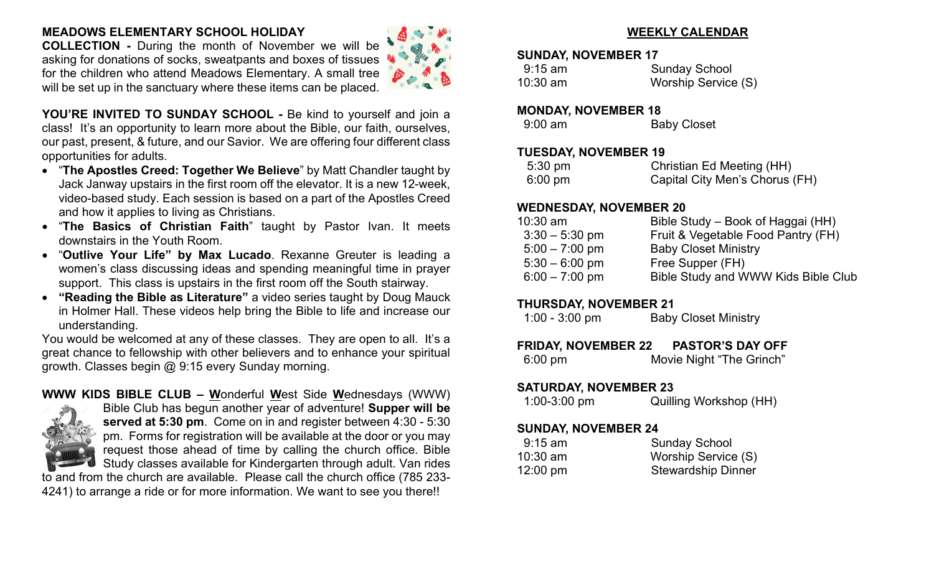# **MEADOWS ELEMENTARY SCHOOL HOLIDAY**

**COLLECTION -** During the month of November we will be asking for donations of socks, sweatpants and boxes of tissues for the children who attend Meadows Elementary. A small tree will be set up in the sanctuary where these items can be placed.



**YOU'RE INVITED TO SUNDAY SCHOOL -** Be kind to yourself and join a class! It's an opportunity to learn more about the Bible, our faith, ourselves, our past, present, & future, and our Savior. We are offering four different class opportunities for adults.

- "**The Apostles Creed: Together We Believe**" by Matt Chandler taught by Jack Janway upstairs in the first room off the elevator. It is a new 12-week, video-based study. Each session is based on a part of the Apostles Creed and how it applies to living as Christians.
- "**The Basics of Christian Faith**" taught by Pastor Ivan. It meets downstairs in the Youth Room.
- "**Outlive Your Life" by Max Lucado**. Rexanne Greuter is leading a women's class discussing ideas and spending meaningful time in prayer support. This class is upstairs in the first room off the South stairway.
- **"Reading the Bible as Literature"** a video series taught by Doug Mauck in Holmer Hall. These videos help bring the Bible to life and increase our understanding.

You would be welcomed at any of these classes. They are open to all. It's a great chance to fellowship with other believers and to enhance your spiritual growth. Classes begin @ 9:15 every Sunday morning.

### **WWW KIDS BIBLE CLUB – W**onderful **W**est Side **W**ednesdays (WWW)



Bible Club has begun another year of adventure! **Supper will be served at 5:30 pm**. Come on in and register between 4:30 - 5:30 pm. Forms for registration will be available at the door or you may request those ahead of time by calling the church office. Bible Study classes available for Kindergarten through adult. Van rides

to and from the church are available. Please call the church office (785 233- 4241) to arrange a ride or for more information. We want to see you there!!

# **WEEKLY CALENDAR**

#### **SUNDAY, NOVEMBER 17**

| $9:15$ am | <b>Sunday School</b> |
|-----------|----------------------|
| 10:30 am  | Worship Service (S)  |

#### **MONDAY, NOVEMBER 18**

| $9:00$ am | <b>Baby Closet</b> |
|-----------|--------------------|
|-----------|--------------------|

#### **TUESDAY, NOVEMBER 19**

| $5:30 \text{ pm}$ | Christian Ed Meeting (HH)      |
|-------------------|--------------------------------|
| $6:00 \text{ pm}$ | Capital City Men's Chorus (FH) |

#### **WEDNESDAY, NOVEMBER 20**

| $10:30$ am       | Bible Study – Book of Haggai (HH)   |
|------------------|-------------------------------------|
| $3:30 - 5:30$ pm | Fruit & Vegetable Food Pantry (FH)  |
| $5:00 - 7:00$ pm | <b>Baby Closet Ministry</b>         |
| $5:30 - 6:00$ pm | Free Supper (FH)                    |
| $6:00 - 7:00$ pm | Bible Study and WWW Kids Bible Club |

### **THURSDAY, NOVEMBER 21**

1:00 - 3:00 pm Baby Closet Ministry

# **FRIDAY, NOVEMBER 22 PASTOR'S DAY OFF**

6:00 pm Movie Night "The Grinch"

### **SATURDAY, NOVEMBER 23**

1:00-3:00 pm Quilling Workshop (HH)

# **SUNDAY, NOVEMBER 24**

| $9:15$ am          | <b>Sunday School</b>      |
|--------------------|---------------------------|
| $10:30$ am         | Worship Service (S)       |
| $12:00 \text{ pm}$ | <b>Stewardship Dinner</b> |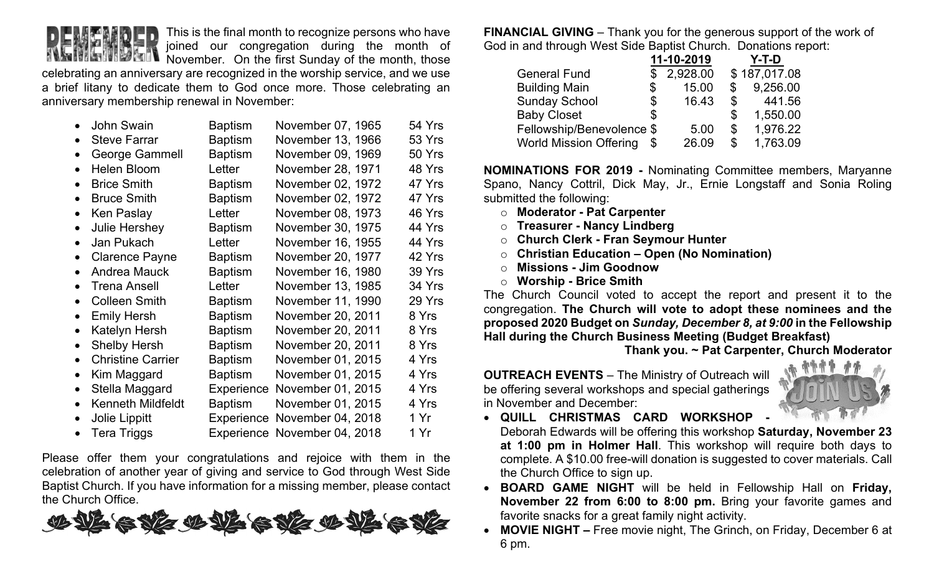

This is the final month to recognize persons who have joined our congregation during the month of

November. On the first Sunday of the month, those celebrating an anniversary are recognized in the worship service, and we use a brief litany to dedicate them to God once more. Those celebrating an anniversary membership renewal in November:

| $\bullet$ | <b>John Swain</b>        | <b>Baptism</b> | November 07, 1965            | 54 Yrs |
|-----------|--------------------------|----------------|------------------------------|--------|
| $\bullet$ | <b>Steve Farrar</b>      | <b>Baptism</b> | November 13, 1966            | 53 Yrs |
| $\bullet$ | <b>George Gammell</b>    | <b>Baptism</b> | November 09, 1969            | 50 Yrs |
|           | <b>Helen Bloom</b>       | Letter         | November 28, 1971            | 48 Yrs |
| $\bullet$ | <b>Brice Smith</b>       | <b>Baptism</b> | November 02, 1972            | 47 Yrs |
| $\bullet$ | <b>Bruce Smith</b>       | <b>Baptism</b> | November 02, 1972            | 47 Yrs |
| $\bullet$ | Ken Paslay               | Letter         | November 08, 1973            | 46 Yrs |
| $\bullet$ | Julie Hershey            | <b>Baptism</b> | November 30, 1975            | 44 Yrs |
| $\bullet$ | Jan Pukach               | Letter         | November 16, 1955            | 44 Yrs |
| $\bullet$ | <b>Clarence Payne</b>    | <b>Baptism</b> | November 20, 1977            | 42 Yrs |
| $\bullet$ | <b>Andrea Mauck</b>      | <b>Baptism</b> | November 16, 1980            | 39 Yrs |
| $\bullet$ | <b>Trena Ansell</b>      | Letter         | November 13, 1985            | 34 Yrs |
|           | <b>Colleen Smith</b>     | <b>Baptism</b> | November 11, 1990            | 29 Yrs |
| $\bullet$ | <b>Emily Hersh</b>       | <b>Baptism</b> | November 20, 2011            | 8 Yrs  |
| $\bullet$ | Katelyn Hersh            | <b>Baptism</b> | November 20, 2011            | 8 Yrs  |
| $\bullet$ | <b>Shelby Hersh</b>      | <b>Baptism</b> | November 20, 2011            | 8 Yrs  |
| $\bullet$ | <b>Christine Carrier</b> | <b>Baptism</b> | November 01, 2015            | 4 Yrs  |
|           | Kim Maggard              | <b>Baptism</b> | November 01, 2015            | 4 Yrs  |
| $\bullet$ | Stella Maggard           | Experience     | November 01, 2015            | 4 Yrs  |
| $\bullet$ | <b>Kenneth Mildfeldt</b> | <b>Baptism</b> | November 01, 2015            | 4 Yrs  |
| $\bullet$ | <b>Jolie Lippitt</b>     | Experience     | November 04, 2018            | 1 Yr   |
| $\bullet$ | <b>Tera Triggs</b>       |                | Experience November 04, 2018 | 1 Yr   |

Please offer them your congratulations and rejoice with them in the celebration of another year of giving and service to God through West Side Baptist Church. If you have information for a missing member, please contact the Church Office.



**FINANCIAL GIVING** – Thank you for the generous support of the work of God in and through West Side Baptist Church. Donations report:

|                               | 11-10-2019  |                | Y-T-D        |
|-------------------------------|-------------|----------------|--------------|
| <b>General Fund</b>           | 2,928.00    |                | \$187,017.08 |
| <b>Building Main</b>          | \$<br>15.00 | \$             | 9,256.00     |
| <b>Sunday School</b>          | \$<br>16.43 | $\mathbb{S}^-$ | 441.56       |
| <b>Baby Closet</b>            | \$          | \$             | 1,550.00     |
| Fellowship/Benevolence \$     | 5.00        | \$             | 1,976.22     |
| <b>World Mission Offering</b> | 26.09       | \$             | 1,763.09     |

**NOMINATIONS FOR 2019 -** Nominating Committee members, Maryanne Spano, Nancy Cottril, Dick May, Jr., Ernie Longstaff and Sonia Roling submitted the following:

- o **Moderator - Pat Carpenter**
- o **Treasurer - Nancy Lindberg**
- o **Church Clerk - Fran Seymour Hunter**
- o **Christian Education – Open (No Nomination)**
- o **Missions - Jim Goodnow**
- o **Worship - Brice Smith**

The Church Council voted to accept the report and present it to the congregation. **The Church will vote to adopt these nominees and the proposed 2020 Budget on** *Sunday, December 8, at 9:00* **in the Fellowship Hall during the Church Business Meeting (Budget Breakfast)** 

**Thank you. ~ Pat Carpenter, Church Moderator**

**OUTREACH EVENTS** – The Ministry of Outreach will be offering several workshops and special gatherings in November and December:



- **QUILL CHRISTMAS CARD WORKSHOP -**
- Deborah Edwards will be offering this workshop **Saturday, November 23 at 1:00 pm in Holmer Hall**. This workshop will require both days to complete. A \$10.00 free-will donation is suggested to cover materials. Call the Church Office to sign up.
- **BOARD GAME NIGHT** will be held in Fellowship Hall on **Friday, November 22 from 6:00 to 8:00 pm.** Bring your favorite games and favorite snacks for a great family night activity.
- **MOVIE NIGHT –** Free movie night, The Grinch, on Friday, December 6 at 6 pm.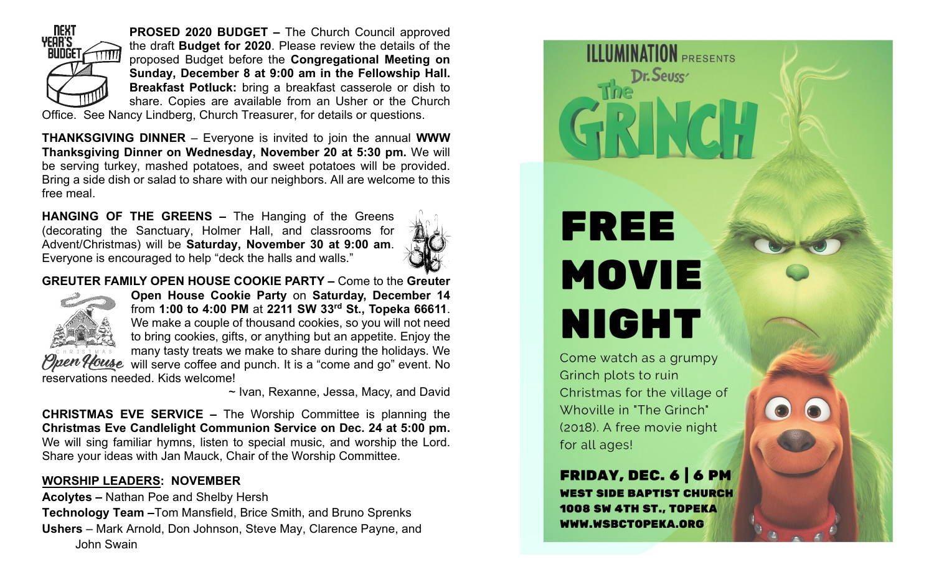

**PROSED 2020 BUDGET –** The Church Council approved the draft **Budget for 2020**. Please review the details of the proposed Budget before the **Congregational Meeting on Sunday, December 8 at 9:00 am in the Fellowship Hall. Breakfast Potluck:** bring a breakfast casserole or dish to share. Copies are available from an Usher or the Church

Office. See Nancy Lindberg, Church Treasurer, for details or questions.

**THANKSGIVING DINNER** – Everyone is invited to join the annual **WWW Thanksgiving Dinner on Wednesday, November 20 at 5:30 pm.** We will be serving turkey, mashed potatoes, and sweet potatoes will be provided. Bring a side dish or salad to share with our neighbors. All are welcome to this free meal.

**HANGING OF THE GREENS –** The Hanging of the Greens (decorating the Sanctuary, Holmer Hall, and classrooms for Advent/Christmas) will be **Saturday, November 30 at 9:00 am**. Everyone is encouraged to help "deck the halls and walls."



**GREUTER FAMILY OPEN HOUSE COOKIE PARTY –** Come to the **Greuter** 



**Open House Cookie Party** on **Saturday, December 14** from **1:00 to 4:00 PM** at **2211 SW 33rd St., Topeka 66611**. We make a couple of thousand cookies, so you will not need to bring cookies, gifts, or anything but an appetite. Enjoy the many tasty treats we make to share during the holidays. We fouse will serve coffee and punch. It is a "come and go" event. No reservations needed. Kids welcome!

~ Ivan, Rexanne, Jessa, Macy, and David

**CHRISTMAS EVE SERVICE –** The Worship Committee is planning the **Christmas Eve Candlelight Communion Service on Dec. 24 at 5:00 pm.**  We will sing familiar hymns, listen to special music, and worship the Lord. Share your ideas with Jan Mauck, Chair of the Worship Committee.

# **WORSHIP LEADERS: NOVEMBER**

**Acolytes –** Nathan Poe and Shelby Hersh **Technology Team –**Tom Mansfield, Brice Smith, and Bruno Sprenks **Ushers** – Mark Arnold, Don Johnson, Steve May, Clarence Payne, and John Swain

# FREE **MOVIE NIGHT**

**ILLUMINATION PRESENTS** 

Dr. Seuss

Come watch as a grumpy Grinch plots to ruin Christmas for the village of Whoville in "The Grinch" (2018). A free movie night for all ages!

**FRIDAY, DEC. 6 6 PM WEST SIDE BAPTIST CHURCH** 1008 SW 4TH ST., TOPEKA WWW.WSBCTOPEKA.ORG